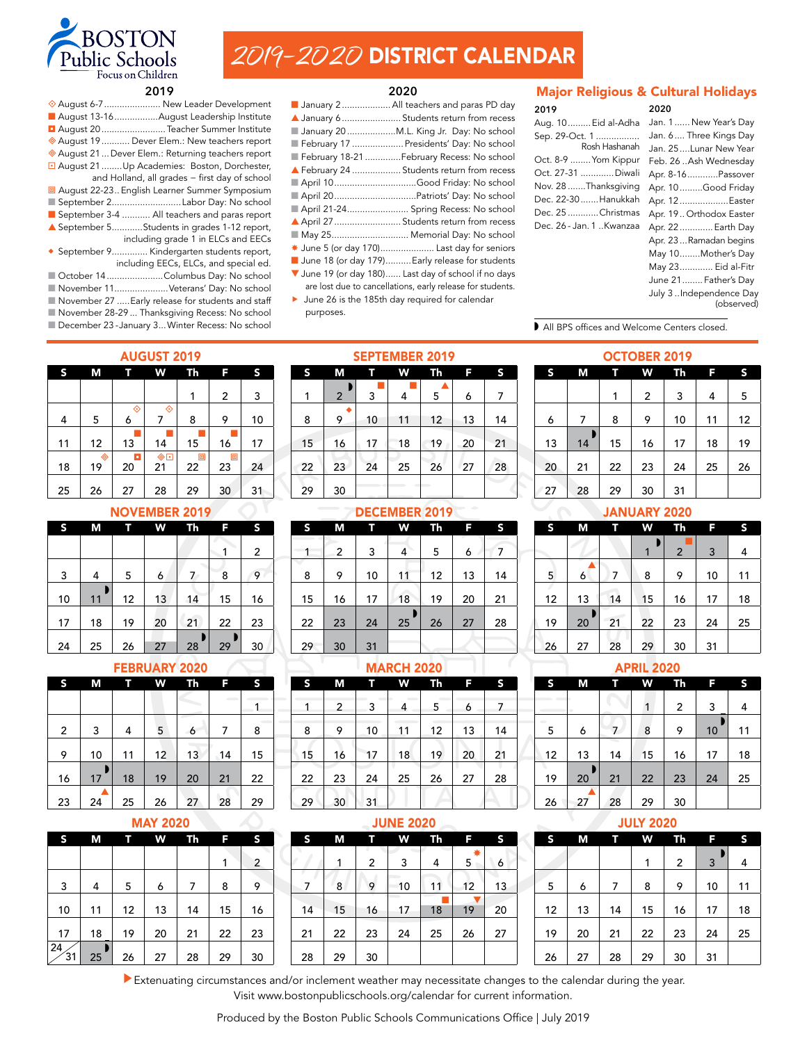

# 2019–2020 DISTRICT CALENDAR

#### **2020**

| ♦ August 6-7  New Leader Development                                                                                                                                                                                                                                                                                            | January 2 All teachers and paras PD day                                                                                                                                                                                             |
|---------------------------------------------------------------------------------------------------------------------------------------------------------------------------------------------------------------------------------------------------------------------------------------------------------------------------------|-------------------------------------------------------------------------------------------------------------------------------------------------------------------------------------------------------------------------------------|
| August 13-16August Leadership Institute                                                                                                                                                                                                                                                                                         | ▲ January 6  Students return from recess                                                                                                                                                                                            |
| August 20  Teacher Summer Institute                                                                                                                                                                                                                                                                                             | January 20 M.L. King Jr. Day: No school                                                                                                                                                                                             |
| ◆ August 19  Dever Elem.: New teachers report                                                                                                                                                                                                                                                                                   | February 17  Presidents' Day: No school                                                                                                                                                                                             |
| August 21  Dever Elem.: Returning teachers report                                                                                                                                                                                                                                                                               | February 18-21 February Recess: No school                                                                                                                                                                                           |
| August 21 Up Academies: Boston, Dorchester,<br>and Holland, all grades - first day of school<br><b>D</b> August 22-23 English Learner Summer Symposium<br>September 2Labor Day: No school<br>September 3-4  All teachers and paras report<br>▲ September 5Students in grades 1-12 report,<br>including grade 1 in ELCs and EECs | February 24  Students return from recess<br>April 10Good Friday: No school<br>April 20Patriots' Day: No school<br>April 21-24 Spring Recess: No school<br>April 27  Students return from recess<br>■ May 25 Memorial Day: No school |
| ◆ September 9 Kindergarten students report,                                                                                                                                                                                                                                                                                     | * June 5 (or day 170) Last day for seniors                                                                                                                                                                                          |
| including EECs, ELCs, and special ed.                                                                                                                                                                                                                                                                                           | June 18 (or day 179) Early release for students                                                                                                                                                                                     |
| October 14 Columbus Day: No school                                                                                                                                                                                                                                                                                              | V June 19 (or day 180) Last day of school if no days                                                                                                                                                                                |

- November 11.....................Veterans' Day: No school
- November 27 .....Early release for students and staff
- November 28-29 ... Thanksgiving Recess: No school December 23 - January 3... Winter Recess: No school

- 
- 25............................... Memorial Day: No school
- e 5 (or day 170)..................... Last day for seniors
- e 18 (or day 179)..........Early release for students
- e 19 (or day 180)...... Last day of school if no days are lost due to cancellations, early release for students.
- ▶ June 26 is the 185th day required for calendar purposes.

SEPTEMBER 2019

|  |  |  | <b>Major Religious &amp; Cultural Holidays</b> |
|--|--|--|------------------------------------------------|
|--|--|--|------------------------------------------------|

| 2019                     | 2020                    |
|--------------------------|-------------------------|
| Aug. 10 Eid al-Adha      | Jan. 1 New Year's Day   |
| Sep. 29-Oct. 1           | Jan. 6 Three Kings Day  |
| Rosh Hashanah            | Jan. 25Lunar New Year   |
| Oct. 8-9  Yom Kippur     | Feb. 26 Ash Wednesday   |
| Oct. 27-31 Diwali        | Apr. 8-16Passover       |
| Nov. 28 Thanksgiving     | Apr. 10Good Friday      |
| Dec. 22-30  Hanukkah     | Apr. 12Easter           |
| Dec. 25 Christmas        | Apr. 19 Orthodox Easter |
| Dec. 26 - Jan. 1 Kwanzaa | Apr. 22  Earth Day      |
|                          | Apr. 23Ramadan begins   |
|                          | May 10Mother's Day      |
|                          | May 23 Eid al-Fitr      |
|                          | June 21 Father's Day    |
|                          | July 3 Independence Day |

(observed)

All BPS offices and Welcome Centers closed.

OCTOBER 2019 S M T W Th F S

6 | 7 | 8 | 9 | 10 | 11 | 12

1 2 3 4 5

| <b>AUGUST 2019</b> |         |         |                               |         |         |    |  |  |  |  |  |
|--------------------|---------|---------|-------------------------------|---------|---------|----|--|--|--|--|--|
| S                  | Μ       | т       | W                             | Th      | F       | S  |  |  |  |  |  |
|                    |         |         |                               | 1       | 2       | 3  |  |  |  |  |  |
| 4                  | 5       | ◈<br>6  | ◈<br>7                        | 8       | 9       | 10 |  |  |  |  |  |
| 11                 | 12      | 13      | 14                            | 15      | 16      | 17 |  |  |  |  |  |
| 18                 | ◈<br>19 | π<br>20 | $\overline{\frac{\circ}{21}}$ | 回<br>22 | 回<br>23 | 24 |  |  |  |  |  |
| 25                 | 26      | 27      | 28                            | 29      | 30      | 31 |  |  |  |  |  |

## NOVEMBER 2019

| S  | Μ  |    | W  | Th | F  |                |
|----|----|----|----|----|----|----------------|
|    |    |    |    |    | 1  | $\overline{2}$ |
| 3  | 4  | 5  | 6  | 7  | 8  | 9              |
| 10 | 11 | 12 | 13 | 14 | 15 | 16             |
| 17 | 18 | 19 | 20 | 21 | 22 | 23             |
| 24 | 25 | 26 | 27 | 28 | 29 | 30             |

# FEBRUARY 2020

| S              | Μ  |    | W  | Th | F  | S  |
|----------------|----|----|----|----|----|----|
|                |    |    |    |    |    | 1  |
| $\overline{2}$ | 3  | 4  | 5  | 6  | 7  | 8  |
| 9              | 10 | 11 | 12 | 13 | 14 | 15 |
| 16             | 17 | 18 | 19 | 20 | 21 | 22 |
| 23             | 24 | 25 | 26 | 27 | 28 | 29 |

# MAY 2020

| S  | М  |    | W  | Th | F  | S              |
|----|----|----|----|----|----|----------------|
|    |    |    |    |    |    |                |
|    |    |    |    |    | 1  | $\overline{2}$ |
|    |    |    |    |    |    |                |
| 3  | 4  | 5  | 6  | 7  | 8  | 9              |
|    |    |    |    |    |    |                |
| 10 | 11 | 12 | 13 | 14 | 15 | 16             |
|    |    |    |    |    |    |                |
| 17 | 18 | 19 | 20 | 21 | 22 | 23             |
| 24 |    |    |    |    |    |                |
| 31 | 25 | 26 | 27 | 28 | 29 | 30             |

| --- |                |    |    |    |    |    |  |  |  |
|-----|----------------|----|----|----|----|----|--|--|--|
| S   | Μ              | Ĥ  | W  | Th | F  | S  |  |  |  |
| 1   | $\overline{2}$ | 3  | 4  | 5  | 6  | 7  |  |  |  |
|     |                |    |    |    |    |    |  |  |  |
| 8   | 9              | 10 | 11 | 12 | 13 | 14 |  |  |  |
| 15  | 16             | 17 | 18 | 19 | 20 | 21 |  |  |  |
| 22  | 23             | 24 | 25 | 26 | 27 | 28 |  |  |  |
| 29  | 30             |    |    |    |    |    |  |  |  |

DECEMBER 2019 S M T W Th F S  $1$  2 3 4 5 6 7 8 9 10 11 12 13 14 15 16 17 18 19 20 21 w 22 23 24 25 26 27 28

w 14 15 16 17 18 19 21 22 23 24 25 26 28 29 30 31

### JANUARY 2020

| S  | М  |    | W  | Th             | F  | S  |  |
|----|----|----|----|----------------|----|----|--|
|    |    |    |    |                |    |    |  |
|    |    |    | 1  | $\overline{2}$ | 3  | 4  |  |
|    |    |    |    |                |    |    |  |
| 5  | 6  | 7  | 8  | 9              | 10 | 11 |  |
|    |    |    |    |                |    |    |  |
| 12 | 13 | 14 | 15 | 16             | 17 | 18 |  |
|    |    |    |    |                |    |    |  |
| 19 | 20 | 21 | 22 | 23             | 24 | 25 |  |
|    |    |    |    |                |    |    |  |
| 26 | 27 | 28 | 29 | 30             | 31 |    |  |

APRIL 2020 S M T W Th F S

1 2 3 4

 $10^{\degree}$ 

### **MARCH 2020**

29 30 31

| S  | М  | ī  | W  | <b>Th</b> | F  | S  |
|----|----|----|----|-----------|----|----|
| 1  | 2  | 3  | 4  | 5         | 6  | 7  |
| 8  | 9  | 10 | 11 | 12        | 13 | 14 |
| 15 | 16 | 17 | 18 | 19        | 20 | 21 |
| 22 | 23 | 24 | 25 | 26        | 27 | 28 |
| 29 | 30 | 31 |    |           |    |    |
|    |    |    |    |           |    |    |

### JUNE 2020

| S  | М  | п  | W  | Th | F      | S  |  |  |  |
|----|----|----|----|----|--------|----|--|--|--|
|    | 1  | 2  | 3  | 4  | ☀<br>5 | 6  |  |  |  |
| 7  | 8  | 9  | 10 | 11 | 12     | 13 |  |  |  |
| 14 | 15 | 16 | 17 | 18 | 19     | 20 |  |  |  |
| 21 | 22 | 23 | 24 | 25 | 26     | 27 |  |  |  |
| 28 | 29 | 30 |    |    |        |    |  |  |  |

# 12 13 14 15 16 17 18 19 20 21 22 23 24 25

w

▲ 26 27 28 29 30

5 6 7 8 9 10 11

# JULY 2020

| S  | М  |    | W  | Th | F  | S  |
|----|----|----|----|----|----|----|
|    |    |    | 1  | 2  | 3  | 4  |
| 5  | 6  | 7  | 8  | 9  | 10 | 11 |
| 12 | 13 | 14 | 15 | 16 | 17 | 18 |
| 19 | 20 | 21 | 22 | 23 | 24 | 25 |
| 26 | 27 | 28 | 29 | 30 | 31 |    |

Extenuating circumstances and/or inclement weather may necessitate changes to the calendar during the year. Visit www.bostonpublicschools.org/calendar for current information.